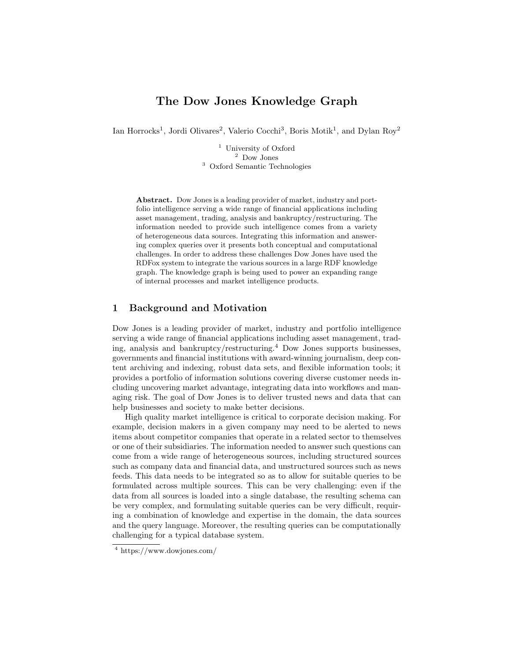# The Dow Jones Knowledge Graph

Ian Horrocks<sup>1</sup>, Jordi Olivares<sup>2</sup>, Valerio Cocchi<sup>3</sup>, Boris Motik<sup>1</sup>, and Dylan Roy<sup>2</sup>

<sup>1</sup> University of Oxford <sup>2</sup> Dow Jones <sup>3</sup> Oxford Semantic Technologies

Abstract. Dow Jones is a leading provider of market, industry and portfolio intelligence serving a wide range of financial applications including asset management, trading, analysis and bankruptcy/restructuring. The information needed to provide such intelligence comes from a variety of heterogeneous data sources. Integrating this information and answering complex queries over it presents both conceptual and computational challenges. In order to address these challenges Dow Jones have used the RDFox system to integrate the various sources in a large RDF knowledge graph. The knowledge graph is being used to power an expanding range of internal processes and market intelligence products.

# 1 Background and Motivation

Dow Jones is a leading provider of market, industry and portfolio intelligence serving a wide range of financial applications including asset management, trading, analysis and bankruptcy/restructuring.<sup>4</sup> Dow Jones supports businesses, governments and financial institutions with award-winning journalism, deep content archiving and indexing, robust data sets, and flexible information tools; it provides a portfolio of information solutions covering diverse customer needs including uncovering market advantage, integrating data into workflows and managing risk. The goal of Dow Jones is to deliver trusted news and data that can help businesses and society to make better decisions.

High quality market intelligence is critical to corporate decision making. For example, decision makers in a given company may need to be alerted to news items about competitor companies that operate in a related sector to themselves or one of their subsidiaries. The information needed to answer such questions can come from a wide range of heterogeneous sources, including structured sources such as company data and financial data, and unstructured sources such as news feeds. This data needs to be integrated so as to allow for suitable queries to be formulated across multiple sources. This can be very challenging: even if the data from all sources is loaded into a single database, the resulting schema can be very complex, and formulating suitable queries can be very difficult, requiring a combination of knowledge and expertise in the domain, the data sources and the query language. Moreover, the resulting queries can be computationally challenging for a typical database system.

<sup>4</sup> https://www.dowjones.com/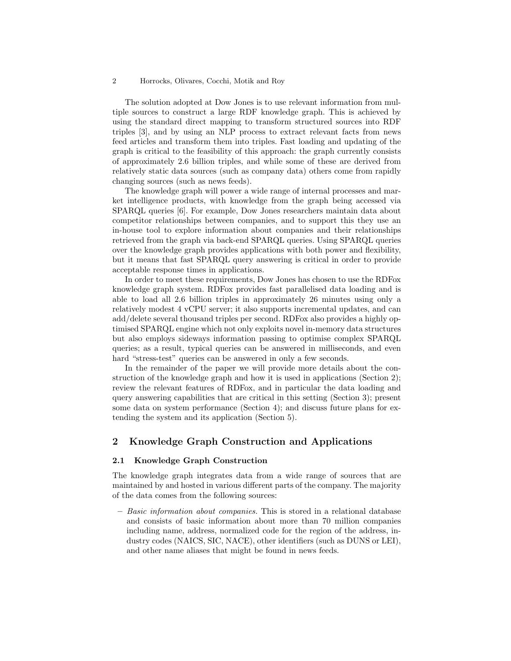The solution adopted at Dow Jones is to use relevant information from multiple sources to construct a large RDF knowledge graph. This is achieved by using the standard direct mapping to transform structured sources into RDF triples [3], and by using an NLP process to extract relevant facts from news feed articles and transform them into triples. Fast loading and updating of the graph is critical to the feasibility of this approach: the graph currently consists of approximately 2.6 billion triples, and while some of these are derived from relatively static data sources (such as company data) others come from rapidly changing sources (such as news feeds).

The knowledge graph will power a wide range of internal processes and market intelligence products, with knowledge from the graph being accessed via SPARQL queries [6]. For example, Dow Jones researchers maintain data about competitor relationships between companies, and to support this they use an in-house tool to explore information about companies and their relationships retrieved from the graph via back-end SPARQL queries. Using SPARQL queries over the knowledge graph provides applications with both power and flexibility, but it means that fast SPARQL query answering is critical in order to provide acceptable response times in applications.

In order to meet these requirements, Dow Jones has chosen to use the RDFox knowledge graph system. RDFox provides fast parallelised data loading and is able to load all 2.6 billion triples in approximately 26 minutes using only a relatively modest 4 vCPU server; it also supports incremental updates, and can add/delete several thousand triples per second. RDFox also provides a highly optimised SPARQL engine which not only exploits novel in-memory data structures but also employs sideways information passing to optimise complex SPARQL queries; as a result, typical queries can be answered in milliseconds, and even hard "stress-test" queries can be answered in only a few seconds.

In the remainder of the paper we will provide more details about the construction of the knowledge graph and how it is used in applications (Section 2); review the relevant features of RDFox, and in particular the data loading and query answering capabilities that are critical in this setting (Section 3); present some data on system performance (Section 4); and discuss future plans for extending the system and its application (Section 5).

# 2 Knowledge Graph Construction and Applications

### 2.1 Knowledge Graph Construction

The knowledge graph integrates data from a wide range of sources that are maintained by and hosted in various different parts of the company. The majority of the data comes from the following sources:

– Basic information about companies. This is stored in a relational database and consists of basic information about more than 70 million companies including name, address, normalized code for the region of the address, industry codes (NAICS, SIC, NACE), other identifiers (such as DUNS or LEI), and other name aliases that might be found in news feeds.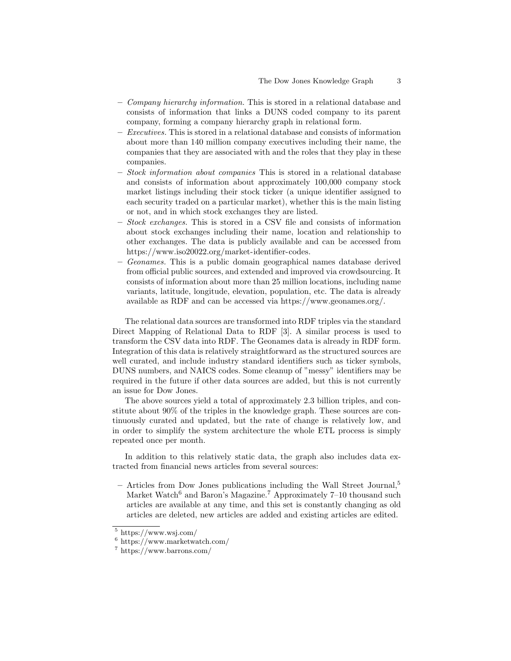- $-$  Company hierarchy information. This is stored in a relational database and consists of information that links a DUNS coded company to its parent company, forming a company hierarchy graph in relational form.
- Executives. This is stored in a relational database and consists of information about more than 140 million company executives including their name, the companies that they are associated with and the roles that they play in these companies.
- Stock information about companies This is stored in a relational database and consists of information about approximately 100,000 company stock market listings including their stock ticker (a unique identifier assigned to each security traded on a particular market), whether this is the main listing or not, and in which stock exchanges they are listed.
- $-$  *Stock exchanges*. This is stored in a CSV file and consists of information about stock exchanges including their name, location and relationship to other exchanges. The data is publicly available and can be accessed from https://www.iso20022.org/market-identifier-codes.
- Geonames. This is a public domain geographical names database derived from official public sources, and extended and improved via crowdsourcing. It consists of information about more than 25 million locations, including name variants, latitude, longitude, elevation, population, etc. The data is already available as RDF and can be accessed via https://www.geonames.org/.

The relational data sources are transformed into RDF triples via the standard Direct Mapping of Relational Data to RDF [3]. A similar process is used to transform the CSV data into RDF. The Geonames data is already in RDF form. Integration of this data is relatively straightforward as the structured sources are well curated, and include industry standard identifiers such as ticker symbols, DUNS numbers, and NAICS codes. Some cleanup of "messy" identifiers may be required in the future if other data sources are added, but this is not currently an issue for Dow Jones.

The above sources yield a total of approximately 2.3 billion triples, and constitute about 90% of the triples in the knowledge graph. These sources are continuously curated and updated, but the rate of change is relatively low, and in order to simplify the system architecture the whole ETL process is simply repeated once per month.

In addition to this relatively static data, the graph also includes data extracted from financial news articles from several sources:

 $-$  Articles from Dow Jones publications including the Wall Street Journal,<sup>5</sup> Market Watch<sup>6</sup> and Baron's Magazine.<sup>7</sup> Approximately  $7-10$  thousand such articles are available at any time, and this set is constantly changing as old articles are deleted, new articles are added and existing articles are edited.

 $\frac{5 \text{ https://www.wsj.com/}}{}$ 

 $^6$ https://www.marketwatch.com/

<sup>7</sup> https://www.barrons.com/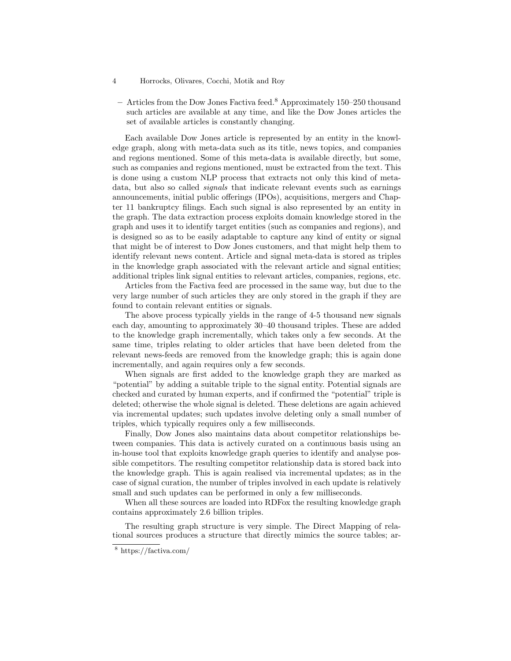- 4 Horrocks, Olivares, Cocchi, Motik and Roy
	- Articles from the Dow Jones Factiva feed.<sup>8</sup> Approximately 150–250 thousand such articles are available at any time, and like the Dow Jones articles the set of available articles is constantly changing.

Each available Dow Jones article is represented by an entity in the knowledge graph, along with meta-data such as its title, news topics, and companies and regions mentioned. Some of this meta-data is available directly, but some, such as companies and regions mentioned, must be extracted from the text. This is done using a custom NLP process that extracts not only this kind of metadata, but also so called *signals* that indicate relevant events such as earnings announcements, initial public offerings (IPOs), acquisitions, mergers and Chapter 11 bankruptcy filings. Each such signal is also represented by an entity in the graph. The data extraction process exploits domain knowledge stored in the graph and uses it to identify target entities (such as companies and regions), and is designed so as to be easily adaptable to capture any kind of entity or signal that might be of interest to Dow Jones customers, and that might help them to identify relevant news content. Article and signal meta-data is stored as triples in the knowledge graph associated with the relevant article and signal entities; additional triples link signal entities to relevant articles, companies, regions, etc.

Articles from the Factiva feed are processed in the same way, but due to the very large number of such articles they are only stored in the graph if they are found to contain relevant entities or signals.

The above process typically yields in the range of 4-5 thousand new signals each day, amounting to approximately 30–40 thousand triples. These are added to the knowledge graph incrementally, which takes only a few seconds. At the same time, triples relating to older articles that have been deleted from the relevant news-feeds are removed from the knowledge graph; this is again done incrementally, and again requires only a few seconds.

When signals are first added to the knowledge graph they are marked as "potential" by adding a suitable triple to the signal entity. Potential signals are checked and curated by human experts, and if confirmed the "potential" triple is deleted; otherwise the whole signal is deleted. These deletions are again achieved via incremental updates; such updates involve deleting only a small number of triples, which typically requires only a few milliseconds.

Finally, Dow Jones also maintains data about competitor relationships between companies. This data is actively curated on a continuous basis using an in-house tool that exploits knowledge graph queries to identify and analyse possible competitors. The resulting competitor relationship data is stored back into the knowledge graph. This is again realised via incremental updates; as in the case of signal curation, the number of triples involved in each update is relatively small and such updates can be performed in only a few milliseconds.

When all these sources are loaded into RDFox the resulting knowledge graph contains approximately 2.6 billion triples.

The resulting graph structure is very simple. The Direct Mapping of relational sources produces a structure that directly mimics the source tables; ar-

<sup>8</sup> https://factiva.com/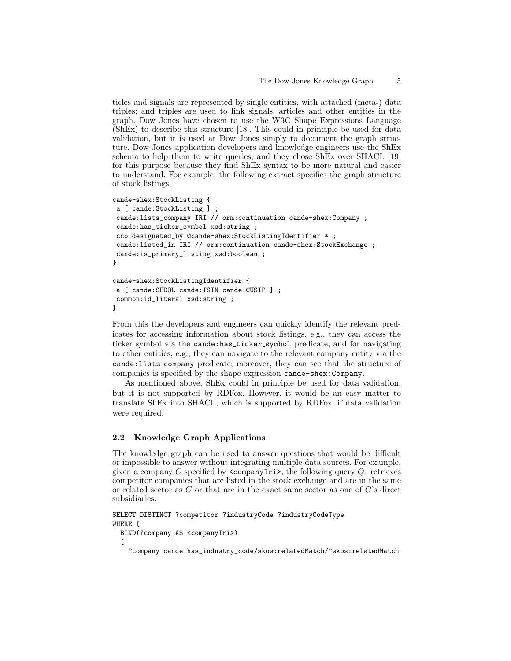ticles and signals are represented by single entities, with attached (meta-) data triples; and triples are used to link signals, articles and other entities in the graph. Dow Jones have chosen to use the W3C Shape Expressions Language (ShEx) to describe this structure [18]. This could in principle be used for data validation, but it is used at Dow Jones simply to document the graph structure. Dow Jones application developers and knowledge engineers use the ShEx schema to help them to write queries, and they chose ShEx over SHACL [19] for this purpose because they find ShEx syntax to be more natural and easier to understand. For example, the following extract specifies the graph structure of stock listings:

```
cande-shex:StockListing {
a [ cande:StockListing ] ;
cande:lists_company IRI // orm:continuation cande-shex:Company ;
cande:has_ticker_symbol xsd:string ;
cco:designated_by @cande-shex:StockListingIdentifier * ;
cande:listed_in IRI // orm:continuation cande-shex:StockExchange ;
cande:is_primary_listing xsd:boolean ;
}
cande-shex:StockListingIdentifier {
a [ cande:SEDOL cande:ISIN cande:CUSIP ] ;
common:id_literal xsd:string ;
}
```
From this the developers and engineers can quickly identify the relevant predicates for accessing information about stock listings, e.g., they can access the ticker symbol via the cande:has\_ticker\_symbol predicate, and for navigating to other entities, e.g., they can navigate to the relevant company entity via the cande:lists company predicate; moreover, they can see that the structure of companies is specified by the shape expression cande-shex:Company.

As mentioned above, ShEx could in principle be used for data validation, but it is not supported by RDFox. However, it would be an easy matter to translate ShEx into SHACL, which is supported by RDFox, if data validation were required.

### 2.2 Knowledge Graph Applications

The knowledge graph can be used to answer questions that would be difficult or impossible to answer without integrating multiple data sources. For example, given a company C specified by  $\leq$  companyIri $\geq$ , the following query  $Q_1$  retrieves competitor companies that are listed in the stock exchange and are in the same or related sector as C or that are in the exact same sector as one of C's direct subsidiaries:

```
SELECT DISTINCT ?competitor ?industryCode ?industryCodeType
WHERE {
 BIND(?company AS <companyIri>)
 {
    ?company cande:has_industry_code/skos:relatedMatch/^skos:relatedMatch
```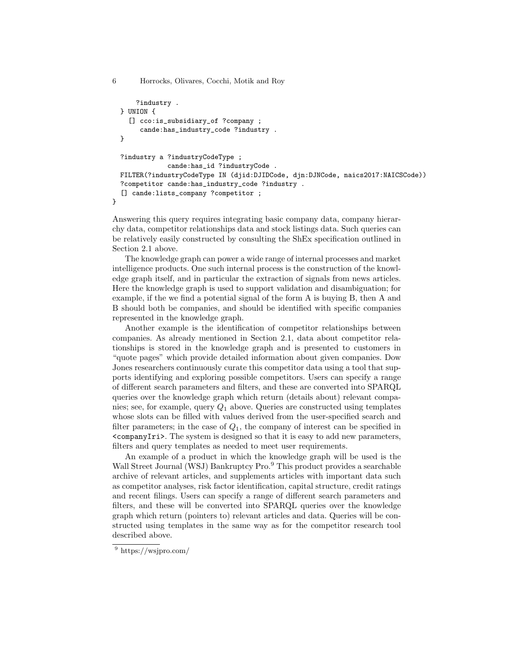```
6 Horrocks, Olivares, Cocchi, Motik and Roy
```

```
?industry .
 } UNION {
    [] cco:is_subsidiary_of ?company ;
       cande:has_industry_code ?industry .
 }
  ?industry a ?industryCodeType ;
              cande:has_id ?industryCode .
 FILTER(?industryCodeType IN (djid:DJIDCode, djn:DJNCode, naics2017:NAICSCode))
  ?competitor cande:has_industry_code ?industry .
  [] cande:lists_company ?competitor ;
}
```
Answering this query requires integrating basic company data, company hierarchy data, competitor relationships data and stock listings data. Such queries can be relatively easily constructed by consulting the ShEx specification outlined in Section 2.1 above.

The knowledge graph can power a wide range of internal processes and market intelligence products. One such internal process is the construction of the knowledge graph itself, and in particular the extraction of signals from news articles. Here the knowledge graph is used to support validation and disambiguation; for example, if the we find a potential signal of the form A is buying B, then A and B should both be companies, and should be identified with specific companies represented in the knowledge graph.

Another example is the identification of competitor relationships between companies. As already mentioned in Section 2.1, data about competitor relationships is stored in the knowledge graph and is presented to customers in "quote pages" which provide detailed information about given companies. Dow Jones researchers continuously curate this competitor data using a tool that supports identifying and exploring possible competitors. Users can specify a range of different search parameters and filters, and these are converted into SPARQL queries over the knowledge graph which return (details about) relevant companies; see, for example, query  $Q_1$  above. Queries are constructed using templates whose slots can be filled with values derived from the user-specified search and filter parameters; in the case of  $Q_1$ , the company of interest can be specified in <companyIri>. The system is designed so that it is easy to add new parameters, filters and query templates as needed to meet user requirements.

An example of a product in which the knowledge graph will be used is the Wall Street Journal (WSJ) Bankruptcy Pro.<sup>9</sup> This product provides a searchable archive of relevant articles, and supplements articles with important data such as competitor analyses, risk factor identification, capital structure, credit ratings and recent filings. Users can specify a range of different search parameters and filters, and these will be converted into SPARQL queries over the knowledge graph which return (pointers to) relevant articles and data. Queries will be constructed using templates in the same way as for the competitor research tool described above.

<sup>9</sup> https://wsjpro.com/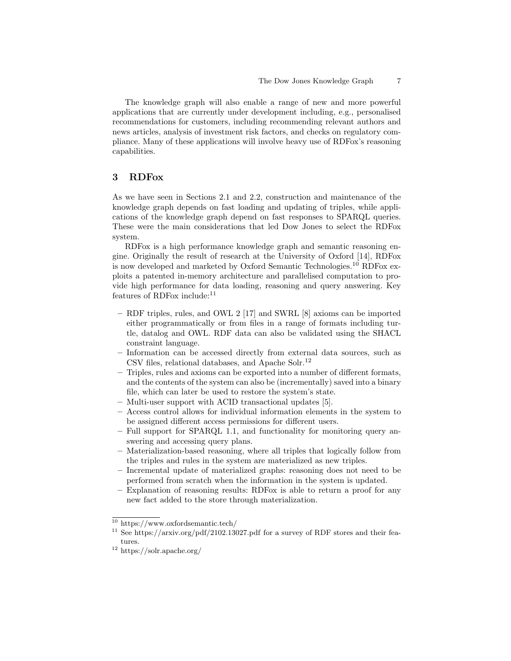The knowledge graph will also enable a range of new and more powerful applications that are currently under development including, e.g., personalised recommendations for customers, including recommending relevant authors and news articles, analysis of investment risk factors, and checks on regulatory compliance. Many of these applications will involve heavy use of RDFox's reasoning capabilities.

# 3 RDFox

As we have seen in Sections 2.1 and 2.2, construction and maintenance of the knowledge graph depends on fast loading and updating of triples, while applications of the knowledge graph depend on fast responses to SPARQL queries. These were the main considerations that led Dow Jones to select the RDFox system.

RDFox is a high performance knowledge graph and semantic reasoning engine. Originally the result of research at the University of Oxford [14], RDFox is now developed and marketed by Oxford Semantic Technologies.<sup>10</sup> RDFox exploits a patented in-memory architecture and parallelised computation to provide high performance for data loading, reasoning and query answering. Key features of RDFox include:<sup>11</sup>

- RDF triples, rules, and OWL 2 [17] and SWRL [8] axioms can be imported either programmatically or from files in a range of formats including turtle, datalog and OWL. RDF data can also be validated using the SHACL constraint language.
- Information can be accessed directly from external data sources, such as CSV files, relational databases, and Apache Solr.<sup>12</sup>
- Triples, rules and axioms can be exported into a number of different formats, and the contents of the system can also be (incrementally) saved into a binary file, which can later be used to restore the system's state.
- Multi-user support with ACID transactional updates [5].
- Access control allows for individual information elements in the system to be assigned different access permissions for different users.
- Full support for SPARQL 1.1, and functionality for monitoring query answering and accessing query plans.
- Materialization-based reasoning, where all triples that logically follow from the triples and rules in the system are materialized as new triples.
- Incremental update of materialized graphs: reasoning does not need to be performed from scratch when the information in the system is updated.
- Explanation of reasoning results: RDFox is able to return a proof for any new fact added to the store through materialization.

<sup>10</sup> https://www.oxfordsemantic.tech/

<sup>&</sup>lt;sup>11</sup> See https://arxiv.org/pdf/2102.13027.pdf for a survey of RDF stores and their features.

 $12 \text{ https://solv.apache.org/}$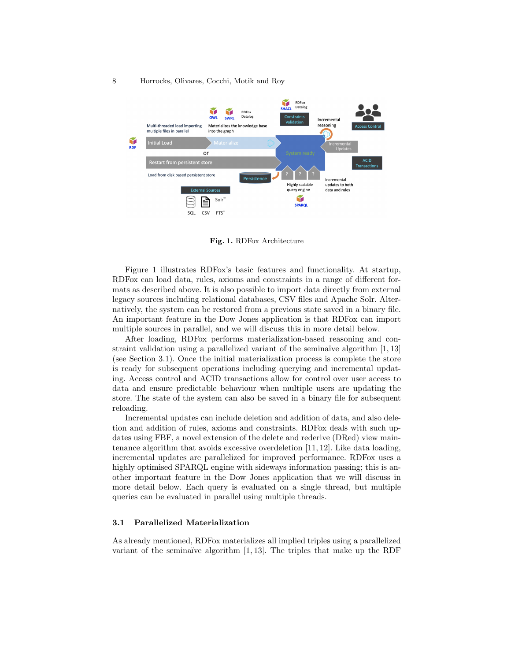

Fig. 1. RDFox Architecture

Figure 1 illustrates RDFox's basic features and functionality. At startup, RDFox can load data, rules, axioms and constraints in a range of different formats as described above. It is also possible to import data directly from external legacy sources including relational databases, CSV files and Apache Solr. Alternatively, the system can be restored from a previous state saved in a binary file. An important feature in the Dow Jones application is that RDFox can import multiple sources in parallel, and we will discuss this in more detail below.

After loading, RDFox performs materialization-based reasoning and constraint validation using a parallelized variant of the seminaïve algorithm  $[1, 13]$ (see Section 3.1). Once the initial materialization process is complete the store is ready for subsequent operations including querying and incremental updating. Access control and ACID transactions allow for control over user access to data and ensure predictable behaviour when multiple users are updating the store. The state of the system can also be saved in a binary file for subsequent reloading.

Incremental updates can include deletion and addition of data, and also deletion and addition of rules, axioms and constraints. RDFox deals with such updates using FBF, a novel extension of the delete and rederive (DRed) view maintenance algorithm that avoids excessive overdeletion [11, 12]. Like data loading, incremental updates are parallelized for improved performance. RDFox uses a highly optimised SPARQL engine with sideways information passing; this is another important feature in the Dow Jones application that we will discuss in more detail below. Each query is evaluated on a single thread, but multiple queries can be evaluated in parallel using multiple threads.

### 3.1 Parallelized Materialization

As already mentioned, RDFox materializes all implied triples using a parallelized variant of the seminaïve algorithm  $[1, 13]$ . The triples that make up the RDF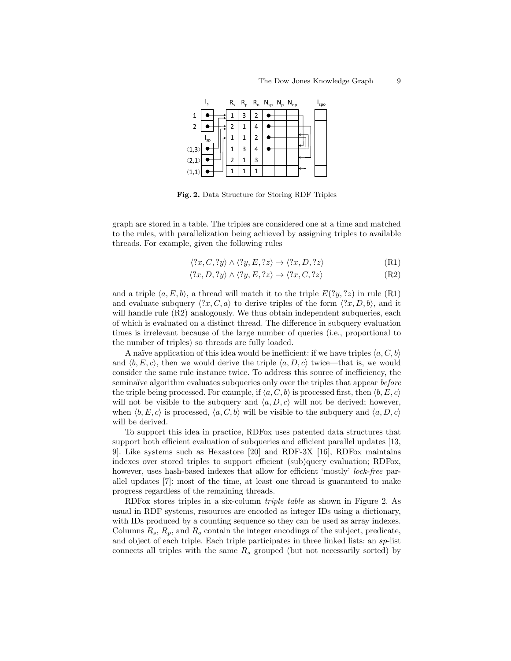

Fig. 2. Data Structure for Storing RDF Triples

graph are stored in a table. The triples are considered one at a time and matched to the rules, with parallelization being achieved by assigning triples to available threads. For example, given the following rules

$$
\langle ?x, C, ?y \rangle \land \langle ?y, E, ?z \rangle \rightarrow \langle ?x, D, ?z \rangle \tag{R1}
$$

$$
\langle ?x, D, ?y \rangle \land \langle ?y, E, ?z \rangle \rightarrow \langle ?x, C, ?z \rangle \tag{R2}
$$

and a triple  $\langle a, E, b \rangle$ , a thread will match it to the triple  $E(?y, ?z)$  in rule (R1) and evaluate subquery  $\langle x, C, a \rangle$  to derive triples of the form  $\langle x, D, b \rangle$ , and it will handle rule  $(R2)$  analogously. We thus obtain independent subqueries, each of which is evaluated on a distinct thread. The difference in subquery evaluation times is irrelevant because of the large number of queries (i.e., proportional to the number of triples) so threads are fully loaded.

A naïve application of this idea would be inefficient: if we have triples  $\langle a, C, b \rangle$ and  $\langle b, E, c \rangle$ , then we would derive the triple  $\langle a, D, c \rangle$  twice—that is, we would consider the same rule instance twice. To address this source of inefficiency, the seminaïve algorithm evaluates subqueries only over the triples that appear before the triple being processed. For example, if  $\langle a, C, b \rangle$  is processed first, then  $\langle b, E, c \rangle$ will not be visible to the subquery and  $\langle a, D, c \rangle$  will not be derived; however, when  $\langle b, E, c \rangle$  is processed,  $\langle a, C, b \rangle$  will be visible to the subquery and  $\langle a, D, c \rangle$ will be derived.

To support this idea in practice, RDFox uses patented data structures that support both efficient evaluation of subqueries and efficient parallel updates [13, 9]. Like systems such as Hexastore [20] and RDF-3X [16], RDFox maintains indexes over stored triples to support efficient (sub)query evaluation; RDFox, however, uses hash-based indexes that allow for efficient 'mostly' *lock-free* parallel updates [7]: most of the time, at least one thread is guaranteed to make progress regardless of the remaining threads.

RDFox stores triples in a six-column triple table as shown in Figure 2. As usual in RDF systems, resources are encoded as integer IDs using a dictionary, with IDs produced by a counting sequence so they can be used as array indexes. Columns  $R_s$ ,  $R_p$ , and  $R_o$  contain the integer encodings of the subject, predicate, and object of each triple. Each triple participates in three linked lists: an sp-list connects all triples with the same  $R_s$  grouped (but not necessarily sorted) by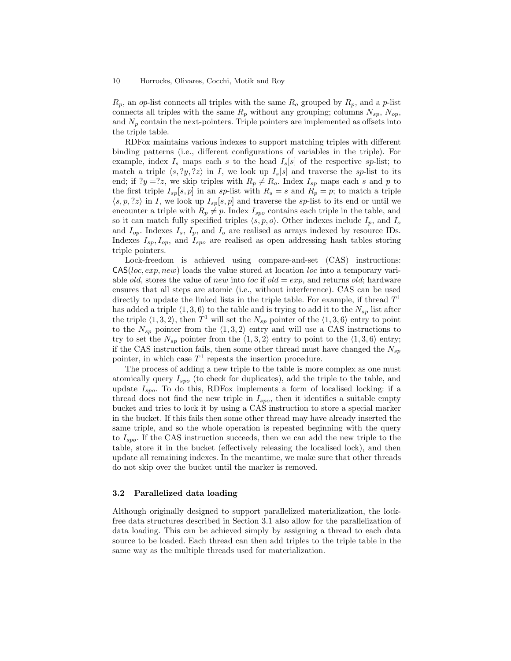$R_p$ , an op-list connects all triples with the same  $R_o$  grouped by  $R_p$ , and a p-list connects all triples with the same  $R_p$  without any grouping; columns  $N_{sp}$ ,  $N_{op}$ , and  $N_p$  contain the next-pointers. Triple pointers are implemented as offsets into the triple table.

RDFox maintains various indexes to support matching triples with different binding patterns (i.e., different configurations of variables in the triple). For example, index  $I_s$  maps each s to the head  $I_s[s]$  of the respective sp-list; to match a triple  $\langle s, ?y, ?z \rangle$  in I, we look up  $I_s[s]$  and traverse the sp-list to its end; if  $?y = ?z$ , we skip triples with  $R_p \neq R_o$ . Index  $I_{sp}$  maps each s and p to the first triple  $I_{sp}[s, p]$  in an sp-list with  $R_s = s$  and  $R_p = p$ ; to match a triple  $\langle s, p, ?z \rangle$  in I, we look up  $I_{sp}[s, p]$  and traverse the sp-list to its end or until we encounter a triple with  $R_p \neq p$ . Index  $I_{spo}$  contains each triple in the table, and so it can match fully specified triples  $\langle s, p, o \rangle$ . Other indexes include  $I_p$ , and  $I_o$ and  $I_{op}$ . Indexes  $I_s$ ,  $I_p$ , and  $I_o$  are realised as arrays indexed by resource IDs. Indexes  $I_{sp}$ ,  $I_{op}$ , and  $I_{spo}$  are realised as open addressing hash tables storing triple pointers.

Lock-freedom is achieved using compare-and-set (CAS) instructions:  $CAS(loc, exp, new)$  loads the value stored at location loc into a temporary variable old, stores the value of new into loc if  $old = exp$ , and returns old; hardware ensures that all steps are atomic (i.e., without interference). CAS can be used directly to update the linked lists in the triple table. For example, if thread  $T<sup>1</sup>$ has added a triple  $\langle 1, 3, 6 \rangle$  to the table and is trying to add it to the  $N_{sp}$  list after the triple  $\langle 1, 3, 2 \rangle$ , then  $T^1$  will set the  $N_{sp}$  pointer of the  $\langle 1, 3, 6 \rangle$  entry to point to the  $N_{sp}$  pointer from the  $\langle 1, 3, 2 \rangle$  entry and will use a CAS instructions to try to set the  $N_{sp}$  pointer from the  $\langle 1, 3, 2 \rangle$  entry to point to the  $\langle 1, 3, 6 \rangle$  entry; if the CAS instruction fails, then some other thread must have changed the  $N_{sp}$ pointer, in which case  $T^1$  repeats the insertion procedure.

The process of adding a new triple to the table is more complex as one must atomically query  $I_{spo}$  (to check for duplicates), add the triple to the table, and update  $I_{spo}$ . To do this, RDFox implements a form of localised locking: if a thread does not find the new triple in  $I_{spo}$ , then it identifies a suitable empty bucket and tries to lock it by using a CAS instruction to store a special marker in the bucket. If this fails then some other thread may have already inserted the same triple, and so the whole operation is repeated beginning with the query to  $I_{spo}$ . If the CAS instruction succeeds, then we can add the new triple to the table, store it in the bucket (effectively releasing the localised lock), and then update all remaining indexes. In the meantime, we make sure that other threads do not skip over the bucket until the marker is removed.

### 3.2 Parallelized data loading

Although originally designed to support parallelized materialization, the lockfree data structures described in Section 3.1 also allow for the parallelization of data loading. This can be achieved simply by assigning a thread to each data source to be loaded. Each thread can then add triples to the triple table in the same way as the multiple threads used for materialization.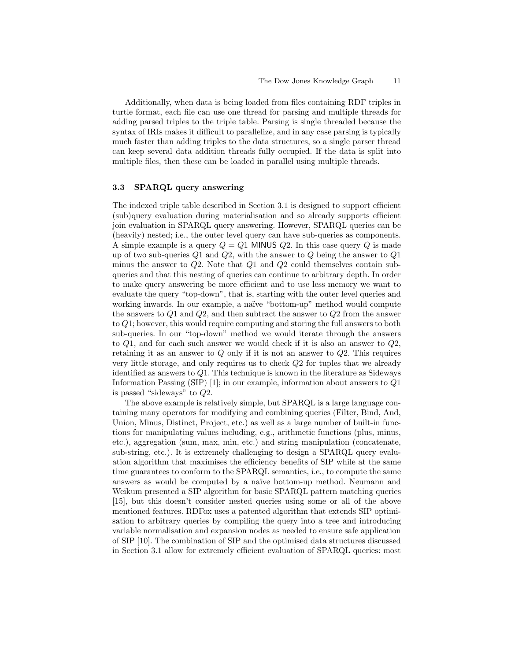Additionally, when data is being loaded from files containing RDF triples in turtle format, each file can use one thread for parsing and multiple threads for adding parsed triples to the triple table. Parsing is single threaded because the syntax of IRIs makes it difficult to parallelize, and in any case parsing is typically much faster than adding triples to the data structures, so a single parser thread can keep several data addition threads fully occupied. If the data is split into multiple files, then these can be loaded in parallel using multiple threads.

### 3.3 SPARQL query answering

The indexed triple table described in Section 3.1 is designed to support efficient (sub)query evaluation during materialisation and so already supports efficient join evaluation in SPARQL query answering. However, SPARQL queries can be (heavily) nested; i.e., the outer level query can have sub-queries as components. A simple example is a query  $Q = Q1$  MINUS  $Q2$ . In this case query Q is made up of two sub-queries  $Q1$  and  $Q2$ , with the answer to  $Q$  being the answer to  $Q1$ minus the answer to  $Q2$ . Note that  $Q1$  and  $Q2$  could themselves contain subqueries and that this nesting of queries can continue to arbitrary depth. In order to make query answering be more efficient and to use less memory we want to evaluate the query "top-down", that is, starting with the outer level queries and working inwards. In our example, a naïve "bottom-up" method would compute the answers to  $Q1$  and  $Q2$ , and then subtract the answer to  $Q2$  from the answer to Q1; however, this would require computing and storing the full answers to both sub-queries. In our "top-down" method we would iterate through the answers to Q1, and for each such answer we would check if it is also an answer to Q2, retaining it as an answer to  $Q$  only if it is not an answer to  $Q2$ . This requires very little storage, and only requires us to check Q2 for tuples that we already identified as answers to Q1. This technique is known in the literature as Sideways Information Passing  $(SIP)$  [1]; in our example, information about answers to  $Q1$ is passed "sideways" to Q2.

The above example is relatively simple, but SPARQL is a large language containing many operators for modifying and combining queries (Filter, Bind, And, Union, Minus, Distinct, Project, etc.) as well as a large number of built-in functions for manipulating values including, e.g., arithmetic functions (plus, minus, etc.), aggregation (sum, max, min, etc.) and string manipulation (concatenate, sub-string, etc.). It is extremely challenging to design a SPARQL query evaluation algorithm that maximises the efficiency benefits of SIP while at the same time guarantees to conform to the SPARQL semantics, i.e., to compute the same answers as would be computed by a naïve bottom-up method. Neumann and Weikum presented a SIP algorithm for basic SPARQL pattern matching queries [15], but this doesn't consider nested queries using some or all of the above mentioned features. RDFox uses a patented algorithm that extends SIP optimisation to arbitrary queries by compiling the query into a tree and introducing variable normalisation and expansion nodes as needed to ensure safe application of SIP [10]. The combination of SIP and the optimised data structures discussed in Section 3.1 allow for extremely efficient evaluation of SPARQL queries: most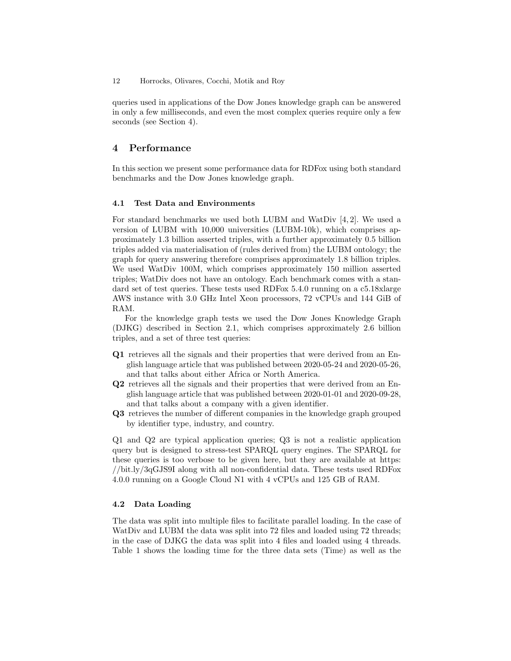queries used in applications of the Dow Jones knowledge graph can be answered in only a few milliseconds, and even the most complex queries require only a few seconds (see Section 4).

### 4 Performance

In this section we present some performance data for RDFox using both standard benchmarks and the Dow Jones knowledge graph.

### 4.1 Test Data and Environments

For standard benchmarks we used both LUBM and WatDiv [4, 2]. We used a version of LUBM with 10,000 universities (LUBM-10k), which comprises approximately 1.3 billion asserted triples, with a further approximately 0.5 billion triples added via materialisation of (rules derived from) the LUBM ontology; the graph for query answering therefore comprises approximately 1.8 billion triples. We used WatDiv 100M, which comprises approximately 150 million asserted triples; WatDiv does not have an ontology. Each benchmark comes with a standard set of test queries. These tests used RDFox 5.4.0 running on a c5.18xlarge AWS instance with 3.0 GHz Intel Xeon processors, 72 vCPUs and 144 GiB of RAM.

For the knowledge graph tests we used the Dow Jones Knowledge Graph (DJKG) described in Section 2.1, which comprises approximately 2.6 billion triples, and a set of three test queries:

- Q1 retrieves all the signals and their properties that were derived from an English language article that was published between 2020-05-24 and 2020-05-26, and that talks about either Africa or North America.
- Q2 retrieves all the signals and their properties that were derived from an English language article that was published between 2020-01-01 and 2020-09-28, and that talks about a company with a given identifier.
- Q3 retrieves the number of different companies in the knowledge graph grouped by identifier type, industry, and country.

Q1 and Q2 are typical application queries; Q3 is not a realistic application query but is designed to stress-test SPARQL query engines. The SPARQL for these queries is too verbose to be given here, but they are available at https: //bit.ly/3qGJS9I along with all non-confidential data. These tests used RDFox 4.0.0 running on a Google Cloud N1 with 4 vCPUs and 125 GB of RAM.

### 4.2 Data Loading

The data was split into multiple files to facilitate parallel loading. In the case of WatDiv and LUBM the data was split into 72 files and loaded using 72 threads; in the case of DJKG the data was split into 4 files and loaded using 4 threads. Table 1 shows the loading time for the three data sets (Time) as well as the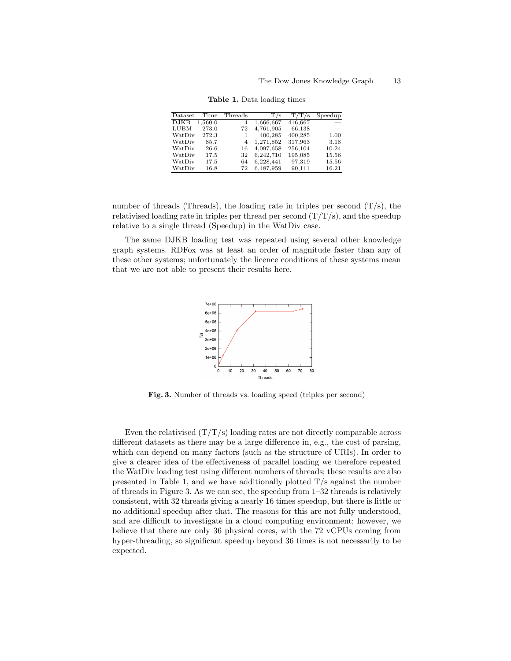| Dataset     | Time    | Threads | T/s       | T/T/s   | Speedup |
|-------------|---------|---------|-----------|---------|---------|
| <b>DJKB</b> | 1.560.0 | 4       | 1,666,667 | 416,667 |         |
| LUBM        | 273.0   | 72      | 4,761,905 | 66,138  |         |
| WatDiv      | 272.3   | 1       | 400,285   | 400,285 | 1.00    |
| WatDiv      | 85.7    | 4       | 1,271,852 | 317,963 | 3.18    |
| WatDiv      | 26.6    | 16      | 4.097.658 | 256,104 | 10.24   |
| WatDiv      | 17.5    | 32      | 6,242,710 | 195,085 | 15.56   |
| WatDiv      | 17.5    | 64      | 6,228,441 | 97,319  | 15.56   |
| WatDiv      | 16.8    | 72      | 6,487,959 | 90,111  | 16.21   |

Table 1. Data loading times

number of threads (Threads), the loading rate in triples per second  $(T/s)$ , the relativised loading rate in triples per thread per second  $(T/T/s)$ , and the speedup relative to a single thread (Speedup) in the WatDiv case.

The same DJKB loading test was repeated using several other knowledge graph systems. RDFox was at least an order of magnitude faster than any of these other systems; unfortunately the licence conditions of these systems mean that we are not able to present their results here.



Fig. 3. Number of threads vs. loading speed (triples per second)

Even the relativised  $(T/T/s)$  loading rates are not directly comparable across different datasets as there may be a large difference in, e.g., the cost of parsing, which can depend on many factors (such as the structure of URIs). In order to give a clearer idea of the effectiveness of parallel loading we therefore repeated the WatDiv loading test using different numbers of threads; these results are also presented in Table 1, and we have additionally plotted  $T/s$  against the number of threads in Figure 3. As we can see, the speedup from 1–32 threads is relatively consistent, with 32 threads giving a nearly 16 times speedup, but there is little or no additional speedup after that. The reasons for this are not fully understood, and are difficult to investigate in a cloud computing environment; however, we believe that there are only 36 physical cores, with the 72 vCPUs coming from hyper-threading, so significant speedup beyond 36 times is not necessarily to be expected.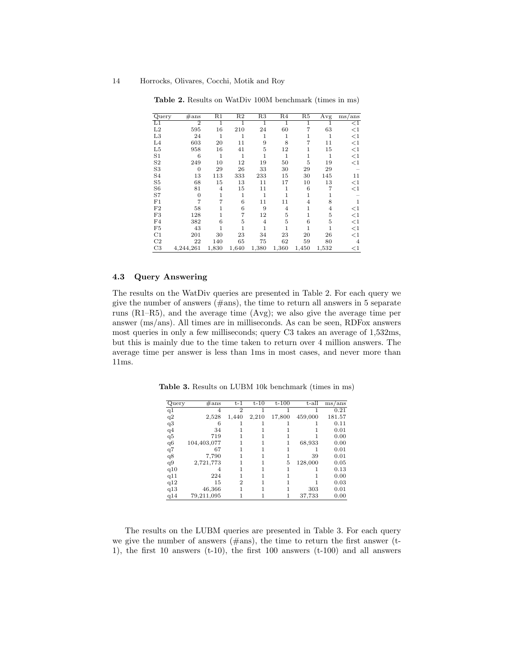| R1<br>R <sub>2</sub><br>R3<br>R5<br>#ans<br>R4<br>Avg<br>Query<br>L1<br>$\overline{2}$<br>1<br>1<br>1<br>1<br>1<br>1<br>L <sub>2</sub><br>16<br>595<br>210<br>60<br>7<br>63<br>24<br>L <sub>3</sub><br>1<br>1<br>1<br>24<br>1<br>1<br>1<br>9<br>L <sub>4</sub><br>603<br>11<br>8<br>20<br>7<br>11<br>L5<br>5<br>958<br>16<br>41<br>12<br>15<br>1<br>S <sub>1</sub><br>1<br>1<br>1<br>6<br>1<br>1<br>1<br>S <sub>2</sub><br>50<br>5<br>249<br>10<br>12<br>19<br>19<br>S <sub>3</sub><br>$\overline{0}$<br>29<br>26<br>33<br>29<br>30<br>29<br>13<br>S4<br>113<br>333<br>233<br>15<br>145<br>30<br>S <sub>5</sub><br>68<br>15<br>17<br>13<br>13<br>11<br>10<br>S <sub>6</sub><br>6<br>15<br>1<br>7<br>81<br>$\overline{4}$<br>11<br>S7<br>$\mathbf{1}$<br>$\overline{1}$<br>$\overline{0}$<br>$\mathbf{1}$<br>1<br>1<br>F1<br>7<br>7<br>6<br>11<br>11<br>4<br>8<br>F2<br>9<br>58<br>6<br>4<br>1<br>4<br>F3<br>7<br>5<br>128<br>5<br>12<br>1<br>F <sub>4</sub><br>5<br>5<br>382<br>4<br>6<br>5<br>6<br>F5<br>43<br>1<br>1<br>1<br>1<br>1<br>1<br>C <sub>1</sub><br>23<br>201<br>30<br>23<br>34<br>20<br>26<br>C <sub>2</sub><br>65<br>62<br>59<br>22<br>140<br>75<br>80<br>C <sub>3</sub><br>4,244,261<br>1,830<br>1,380<br>1,360<br>1,532 |  |       |  |       |                |
|-----------------------------------------------------------------------------------------------------------------------------------------------------------------------------------------------------------------------------------------------------------------------------------------------------------------------------------------------------------------------------------------------------------------------------------------------------------------------------------------------------------------------------------------------------------------------------------------------------------------------------------------------------------------------------------------------------------------------------------------------------------------------------------------------------------------------------------------------------------------------------------------------------------------------------------------------------------------------------------------------------------------------------------------------------------------------------------------------------------------------------------------------------------------------------------------------------------------------------------------|--|-------|--|-------|----------------|
|                                                                                                                                                                                                                                                                                                                                                                                                                                                                                                                                                                                                                                                                                                                                                                                                                                                                                                                                                                                                                                                                                                                                                                                                                                         |  |       |  |       | ms/ans         |
|                                                                                                                                                                                                                                                                                                                                                                                                                                                                                                                                                                                                                                                                                                                                                                                                                                                                                                                                                                                                                                                                                                                                                                                                                                         |  |       |  |       | $\leq$ 1       |
|                                                                                                                                                                                                                                                                                                                                                                                                                                                                                                                                                                                                                                                                                                                                                                                                                                                                                                                                                                                                                                                                                                                                                                                                                                         |  |       |  |       | $<$ 1          |
|                                                                                                                                                                                                                                                                                                                                                                                                                                                                                                                                                                                                                                                                                                                                                                                                                                                                                                                                                                                                                                                                                                                                                                                                                                         |  |       |  |       | $\leq$ 1       |
|                                                                                                                                                                                                                                                                                                                                                                                                                                                                                                                                                                                                                                                                                                                                                                                                                                                                                                                                                                                                                                                                                                                                                                                                                                         |  |       |  |       | $<$ 1          |
|                                                                                                                                                                                                                                                                                                                                                                                                                                                                                                                                                                                                                                                                                                                                                                                                                                                                                                                                                                                                                                                                                                                                                                                                                                         |  |       |  |       | $\leq$ 1       |
|                                                                                                                                                                                                                                                                                                                                                                                                                                                                                                                                                                                                                                                                                                                                                                                                                                                                                                                                                                                                                                                                                                                                                                                                                                         |  |       |  |       | $\leq$ 1       |
|                                                                                                                                                                                                                                                                                                                                                                                                                                                                                                                                                                                                                                                                                                                                                                                                                                                                                                                                                                                                                                                                                                                                                                                                                                         |  |       |  |       | $\leq$ 1       |
|                                                                                                                                                                                                                                                                                                                                                                                                                                                                                                                                                                                                                                                                                                                                                                                                                                                                                                                                                                                                                                                                                                                                                                                                                                         |  |       |  |       |                |
|                                                                                                                                                                                                                                                                                                                                                                                                                                                                                                                                                                                                                                                                                                                                                                                                                                                                                                                                                                                                                                                                                                                                                                                                                                         |  |       |  |       | 11             |
|                                                                                                                                                                                                                                                                                                                                                                                                                                                                                                                                                                                                                                                                                                                                                                                                                                                                                                                                                                                                                                                                                                                                                                                                                                         |  |       |  |       | $<$ 1          |
|                                                                                                                                                                                                                                                                                                                                                                                                                                                                                                                                                                                                                                                                                                                                                                                                                                                                                                                                                                                                                                                                                                                                                                                                                                         |  |       |  |       | $<$ 1          |
|                                                                                                                                                                                                                                                                                                                                                                                                                                                                                                                                                                                                                                                                                                                                                                                                                                                                                                                                                                                                                                                                                                                                                                                                                                         |  |       |  |       |                |
|                                                                                                                                                                                                                                                                                                                                                                                                                                                                                                                                                                                                                                                                                                                                                                                                                                                                                                                                                                                                                                                                                                                                                                                                                                         |  |       |  |       |                |
|                                                                                                                                                                                                                                                                                                                                                                                                                                                                                                                                                                                                                                                                                                                                                                                                                                                                                                                                                                                                                                                                                                                                                                                                                                         |  |       |  |       | ${<}1\,$       |
|                                                                                                                                                                                                                                                                                                                                                                                                                                                                                                                                                                                                                                                                                                                                                                                                                                                                                                                                                                                                                                                                                                                                                                                                                                         |  |       |  |       | $<$ 1          |
|                                                                                                                                                                                                                                                                                                                                                                                                                                                                                                                                                                                                                                                                                                                                                                                                                                                                                                                                                                                                                                                                                                                                                                                                                                         |  |       |  |       | $<$ 1          |
|                                                                                                                                                                                                                                                                                                                                                                                                                                                                                                                                                                                                                                                                                                                                                                                                                                                                                                                                                                                                                                                                                                                                                                                                                                         |  |       |  |       | $<$ 1          |
|                                                                                                                                                                                                                                                                                                                                                                                                                                                                                                                                                                                                                                                                                                                                                                                                                                                                                                                                                                                                                                                                                                                                                                                                                                         |  |       |  |       | $<$ 1          |
|                                                                                                                                                                                                                                                                                                                                                                                                                                                                                                                                                                                                                                                                                                                                                                                                                                                                                                                                                                                                                                                                                                                                                                                                                                         |  |       |  |       | $\overline{4}$ |
|                                                                                                                                                                                                                                                                                                                                                                                                                                                                                                                                                                                                                                                                                                                                                                                                                                                                                                                                                                                                                                                                                                                                                                                                                                         |  | 1,640 |  | 1,450 | $^{<1}$        |

Table 2. Results on WatDiv 100M benchmark (times in ms)

# 4.3 Query Answering

The results on the WatDiv queries are presented in Table 2. For each query we give the number of answers  $(\text{#ans})$ , the time to return all answers in 5 separate runs (R1–R5), and the average time (Avg); we also give the average time per answer (ms/ans). All times are in milliseconds. As can be seen, RDFox answers most queries in only a few milliseconds; query C3 takes an average of 1,532ms, but this is mainly due to the time taken to return over 4 million answers. The average time per answer is less than 1ms in most cases, and never more than 11ms.

Table 3. Results on LUBM 10k benchmark (times in ms)

| Query          | $\#ans$     | $t-1$          | $t-10$ | $t-100$ | $t$ -all | $\text{ms}/\text{ans}$ |
|----------------|-------------|----------------|--------|---------|----------|------------------------|
| q1             | 4           | $\overline{2}$ |        |         |          | 0.21                   |
| q2             | 2,528       | 1.440          | 2,210  | 17,800  | 459,000  | 181.57                 |
| q3             | 6           |                |        |         |          | 0.11                   |
| q <sub>4</sub> | 34          |                |        |         |          | 0.01                   |
| q5             | 719         |                |        |         |          | 0.00                   |
| q6             | 104,403,077 |                |        |         | 68,933   | 0.00                   |
| q7             | 67          |                |        |         |          | 0.01                   |
| q8             | 7.790       |                |        |         | 39       | 0.01                   |
| q9             | 2,721,773   |                |        | 5       | 128,000  | 0.05                   |
| q10            | 4           |                |        |         |          | 0.13                   |
| q11            | 224         |                |        |         |          | 0.00                   |
| q12            | 15          | 2              |        |         |          | 0.03                   |
| q13            | 46,366      |                |        |         | 303      | 0.01                   |
| q14            | 79,211,095  |                |        |         | 37,733   | 0.00                   |

The results on the LUBM queries are presented in Table 3. For each query we give the number of answers  $(\text{#ans})$ , the time to return the first answer (t-1), the first 10 answers (t-10), the first 100 answers (t-100) and all answers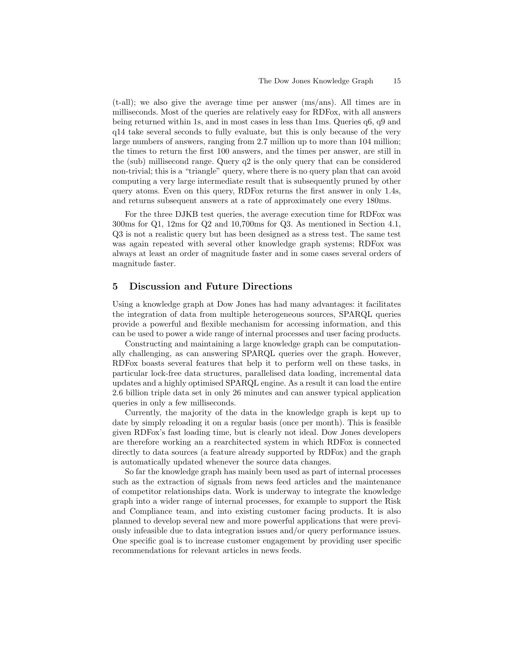(t-all); we also give the average time per answer (ms/ans). All times are in milliseconds. Most of the queries are relatively easy for RDFox, with all answers being returned within 1s, and in most cases in less than 1ms. Queries q6, q9 and q14 take several seconds to fully evaluate, but this is only because of the very large numbers of answers, ranging from 2.7 million up to more than 104 million; the times to return the first 100 answers, and the times per answer, are still in the (sub) millisecond range. Query q2 is the only query that can be considered non-trivial; this is a "triangle" query, where there is no query plan that can avoid computing a very large intermediate result that is subsequently pruned by other query atoms. Even on this query, RDFox returns the first answer in only 1.4s, and returns subsequent answers at a rate of approximately one every 180ms.

For the three DJKB test queries, the average execution time for RDFox was 300ms for Q1, 12ms for Q2 and 10,700ms for Q3. As mentioned in Section 4.1, Q3 is not a realistic query but has been designed as a stress test. The same test was again repeated with several other knowledge graph systems; RDFox was always at least an order of magnitude faster and in some cases several orders of magnitude faster.

# 5 Discussion and Future Directions

Using a knowledge graph at Dow Jones has had many advantages: it facilitates the integration of data from multiple heterogeneous sources, SPARQL queries provide a powerful and flexible mechanism for accessing information, and this can be used to power a wide range of internal processes and user facing products.

Constructing and maintaining a large knowledge graph can be computationally challenging, as can answering SPARQL queries over the graph. However, RDFox boasts several features that help it to perform well on these tasks, in particular lock-free data structures, parallelised data loading, incremental data updates and a highly optimised SPARQL engine. As a result it can load the entire 2.6 billion triple data set in only 26 minutes and can answer typical application queries in only a few milliseconds.

Currently, the majority of the data in the knowledge graph is kept up to date by simply reloading it on a regular basis (once per month). This is feasible given RDFox's fast loading time, but is clearly not ideal. Dow Jones developers are therefore working an a rearchitected system in which RDFox is connected directly to data sources (a feature already supported by RDFox) and the graph is automatically updated whenever the source data changes.

So far the knowledge graph has mainly been used as part of internal processes such as the extraction of signals from news feed articles and the maintenance of competitor relationships data. Work is underway to integrate the knowledge graph into a wider range of internal processes, for example to support the Risk and Compliance team, and into existing customer facing products. It is also planned to develop several new and more powerful applications that were previously infeasible due to data integration issues and/or query performance issues. One specific goal is to increase customer engagement by providing user specific recommendations for relevant articles in news feeds.